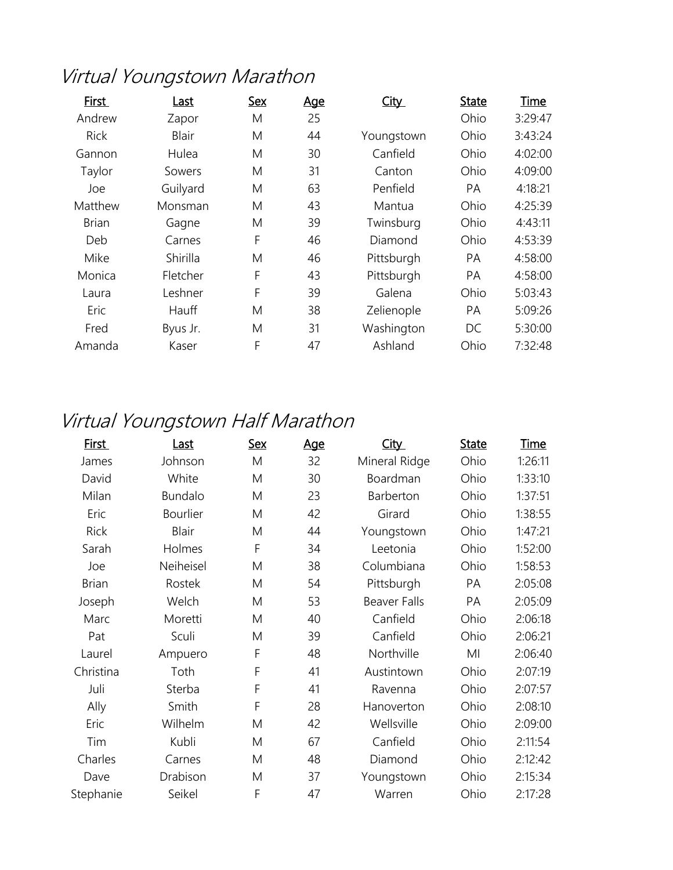## Virtual Youngstown Marathon

| First        | Last         | <b>Sex</b> | <u>Age</u> | <b>City</b> | <b>State</b> | Time    |
|--------------|--------------|------------|------------|-------------|--------------|---------|
| Andrew       | Zapor        | M          | 25         |             | Ohio         | 3:29:47 |
| <b>Rick</b>  | <b>Blair</b> | M          | 44         | Youngstown  | Ohio         | 3:43:24 |
| Gannon       | Hulea        | M          | 30         | Canfield    | Ohio         | 4:02:00 |
| Taylor       | Sowers       | M          | 31         | Canton      | Ohio         | 4:09:00 |
| Joe          | Guilyard     | M          | 63         | Penfield    | PA           | 4:18:21 |
| Matthew      | Monsman      | M          | 43         | Mantua      | Ohio         | 4:25:39 |
| <b>Brian</b> | Gagne        | M          | 39         | Twinsburg   | Ohio         | 4:43:11 |
| Deb          | Carnes       | F          | 46         | Diamond     | Ohio         | 4:53:39 |
| Mike         | Shirilla     | M          | 46         | Pittsburgh  | PA           | 4:58:00 |
| Monica       | Fletcher     | F          | 43         | Pittsburgh  | PA           | 4:58:00 |
| Laura        | Leshner      | F          | 39         | Galena      | Ohio         | 5:03:43 |
| Eric         | Hauff        | M          | 38         | Zelienople  | PA           | 5:09:26 |
| Fred         | Byus Jr.     | M          | 31         | Washington  | DC           | 5:30:00 |
| Amanda       | Kaser        | F          | 47         | Ashland     | Ohio         | 7:32:48 |

## Virtual Youngstown Half Marathon

| <u>First</u> | <u>Last</u>    | <u>Sex</u> | <u>Age</u> | <b>City</b>         | <b>State</b> | <b>Time</b> |
|--------------|----------------|------------|------------|---------------------|--------------|-------------|
| James        | Johnson        | M          | 32         | Mineral Ridge       | Ohio         | 1:26:11     |
| David        | White          | M          | 30         | Boardman            | Ohio         | 1:33:10     |
| Milan        | <b>Bundalo</b> | M          | 23         | Barberton           | Ohio         | 1:37:51     |
| Eric         | Bourlier       | M          | 42         | Girard              | Ohio         | 1:38:55     |
| <b>Rick</b>  | <b>Blair</b>   | M          | 44         | Youngstown          | Ohio         | 1:47:21     |
| Sarah        | Holmes         | F          | 34         | Leetonia            | Ohio         | 1:52:00     |
| Joe          | Neiheisel      | M          | 38         | Columbiana          | Ohio         | 1:58:53     |
| <b>Brian</b> | Rostek         | M          | 54         | Pittsburgh          | PA           | 2:05:08     |
| Joseph       | Welch          | M          | 53         | <b>Beaver Falls</b> | PA           | 2:05:09     |
| Marc         | Moretti        | M          | 40         | Canfield            | Ohio         | 2:06:18     |
| Pat          | Sculi          | M          | 39         | Canfield            | Ohio         | 2:06:21     |
| Laurel       | Ampuero        | F          | 48         | Northville          | MI           | 2:06:40     |
| Christina    | Toth           | F          | 41         | Austintown          | Ohio         | 2:07:19     |
| Juli         | Sterba         | F          | 41         | Ravenna             | Ohio         | 2:07:57     |
| Ally         | Smith          | F          | 28         | Hanoverton          | Ohio         | 2:08:10     |
| Eric         | Wilhelm        | M          | 42         | Wellsville          | Ohio         | 2:09:00     |
| Tim          | Kubli          | M          | 67         | Canfield            | Ohio         | 2:11:54     |
| Charles      | Carnes         | M          | 48         | Diamond             | Ohio         | 2:12:42     |
| Dave         | Drabison       | M          | 37         | Youngstown          | Ohio         | 2:15:34     |
| Stephanie    | Seikel         | F          | 47         | Warren              | Ohio         | 2:17:28     |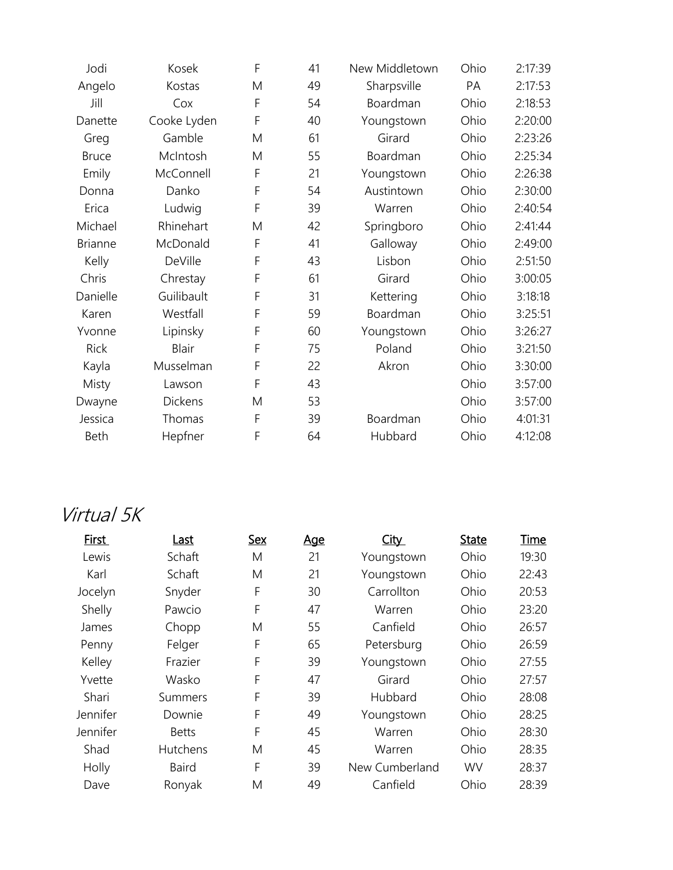| Jodi           | Kosek          | F | 41 | New Middletown | Ohio | 2:17:39 |
|----------------|----------------|---|----|----------------|------|---------|
| Angelo         | Kostas         | M | 49 | Sharpsville    | PA   | 2:17:53 |
| Jill           | Cox            | F | 54 | Boardman       | Ohio | 2:18:53 |
| Danette        | Cooke Lyden    | F | 40 | Youngstown     | Ohio | 2:20:00 |
| Greg           | Gamble         | M | 61 | Girard         | Ohio | 2:23:26 |
| <b>Bruce</b>   | McIntosh       | M | 55 | Boardman       | Ohio | 2:25:34 |
| Emily          | McConnell      | F | 21 | Youngstown     | Ohio | 2:26:38 |
| Donna          | Danko          | F | 54 | Austintown     | Ohio | 2:30:00 |
| Erica          | Ludwig         | F | 39 | Warren         | Ohio | 2:40:54 |
| Michael        | Rhinehart      | M | 42 | Springboro     | Ohio | 2:41:44 |
| <b>Brianne</b> | McDonald       | F | 41 | Galloway       | Ohio | 2:49:00 |
| Kelly          | DeVille        | F | 43 | Lisbon         | Ohio | 2:51:50 |
| Chris          | Chrestay       | F | 61 | Girard         | Ohio | 3:00:05 |
| Danielle       | Guilibault     | F | 31 | Kettering      | Ohio | 3:18:18 |
| Karen          | Westfall       | F | 59 | Boardman       | Ohio | 3:25:51 |
| Yvonne         | Lipinsky       | F | 60 | Youngstown     | Ohio | 3:26:27 |
| Rick           | <b>Blair</b>   | F | 75 | Poland         | Ohio | 3:21:50 |
| Kayla          | Musselman      | F | 22 | Akron          | Ohio | 3:30:00 |
| Misty          | Lawson         | F | 43 |                | Ohio | 3:57:00 |
| Dwayne         | <b>Dickens</b> | M | 53 |                | Ohio | 3:57:00 |
| Jessica        | Thomas         | F | 39 | Boardman       | Ohio | 4:01:31 |
| Beth           | Hepfner        | F | 64 | Hubbard        | Ohio | 4:12:08 |

## Virtual 5K

| First    | Last         | <b>Sex</b> | <b>Age</b> | <b>City</b>    | <b>State</b> | Time  |
|----------|--------------|------------|------------|----------------|--------------|-------|
| Lewis    | Schaft       | M          | 21         | Youngstown     | Ohio         | 19:30 |
| Karl     | Schaft       | M          | 21         | Youngstown     | Ohio         | 22:43 |
| Jocelyn  | Snyder       | F          | 30         | Carrollton     | Ohio         | 20:53 |
| Shelly   | Pawcio       | F          | 47         | Warren         | Ohio         | 23:20 |
| James    | Chopp        | M          | 55         | Canfield       | Ohio         | 26:57 |
| Penny    | Felger       | F          | 65         | Petersburg     | Ohio         | 26:59 |
| Kelley   | Frazier      | F          | 39         | Youngstown     | Ohio         | 27:55 |
| Yvette   | Wasko        | F          | 47         | Girard         | Ohio         | 27:57 |
| Shari    | Summers      | F          | 39         | Hubbard        | Ohio         | 28:08 |
| Jennifer | Downie       | F          | 49         | Youngstown     | Ohio         | 28:25 |
| Jennifer | <b>Betts</b> | F          | 45         | Warren         | Ohio         | 28:30 |
| Shad     | Hutchens     | M          | 45         | Warren         | Ohio         | 28:35 |
| Holly    | <b>Baird</b> | F          | 39         | New Cumberland | <b>WV</b>    | 28:37 |
| Dave     | Ronyak       | M          | 49         | Canfield       | Ohio         | 28:39 |